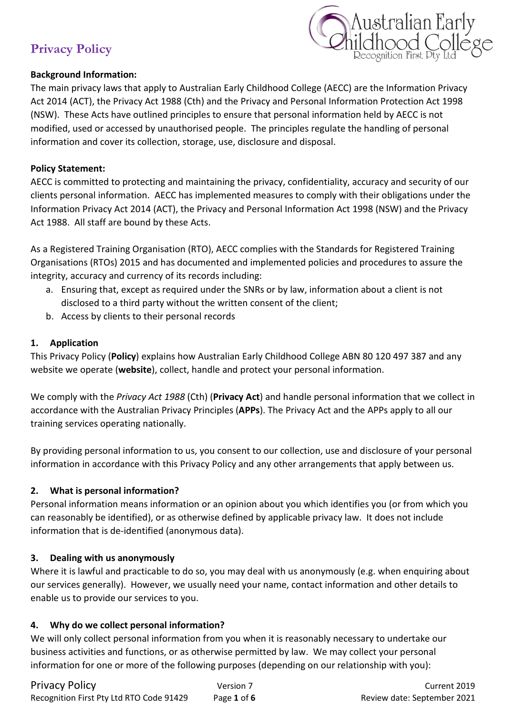

### **Background Information:**

The main privacy laws that apply to Australian Early Childhood College (AECC) are the Information Privacy Act 2014 (ACT), the Privacy Act 1988 (Cth) and the Privacy and Personal Information Protection Act 1998 (NSW). These Acts have outlined principles to ensure that personal information held by AECC is not modified, used or accessed by unauthorised people. The principles regulate the handling of personal information and cover its collection, storage, use, disclosure and disposal.

### **Policy Statement:**

AECC is committed to protecting and maintaining the privacy, confidentiality, accuracy and security of our clients personal information. AECC has implemented measures to comply with their obligations under the Information Privacy Act 2014 (ACT), the Privacy and Personal Information Act 1998 (NSW) and the Privacy Act 1988. All staff are bound by these Acts.

As a Registered Training Organisation (RTO), AECC complies with the Standards for Registered Training Organisations (RTOs) 2015 and has documented and implemented policies and procedures to assure the integrity, accuracy and currency of its records including:

- a. Ensuring that, except as required under the SNRs or by law, information about a client is not disclosed to a third party without the written consent of the client;
- b. Access by clients to their personal records

### **1. Application**

This Privacy Policy (**Policy**) explains how Australian Early Childhood College ABN 80 120 497 387 and any website we operate (**website**), collect, handle and protect your personal information.

We comply with the *Privacy Act 1988* (Cth) (**Privacy Act**) and handle personal information that we collect in accordance with the Australian Privacy Principles (**APPs**). The Privacy Act and the APPs apply to all our training services operating nationally.

By providing personal information to us, you consent to our collection, use and disclosure of your personal information in accordance with this Privacy Policy and any other arrangements that apply between us.

### **2. What is personal information?**

Personal information means information or an opinion about you which identifies you (or from which you can reasonably be identified), or as otherwise defined by applicable privacy law. It does not include information that is de-identified (anonymous data).

#### **3. Dealing with us anonymously**

Where it is lawful and practicable to do so, you may deal with us anonymously (e.g. when enquiring about our services generally). However, we usually need your name, contact information and other details to enable us to provide our services to you.

### **4. Why do we collect personal information?**

We will only collect personal information from you when it is reasonably necessary to undertake our business activities and functions, or as otherwise permitted by law. We may collect your personal information for one or more of the following purposes (depending on our relationship with you):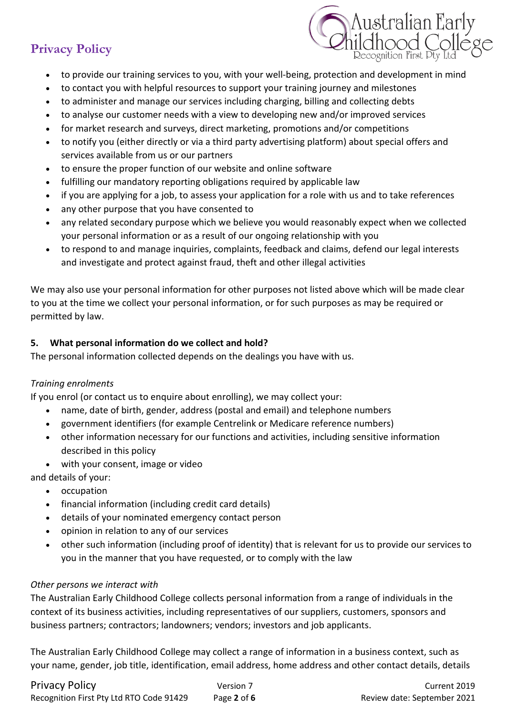

- to provide our training services to you, with your well-being, protection and development in mind
- to contact you with helpful resources to support your training journey and milestones
- to administer and manage our services including charging, billing and collecting debts
- to analyse our customer needs with a view to developing new and/or improved services
- for market research and surveys, direct marketing, promotions and/or competitions
- to notify you (either directly or via a third party advertising platform) about special offers and services available from us or our partners
- to ensure the proper function of our website and online software
- fulfilling our mandatory reporting obligations required by applicable law
- if you are applying for a job, to assess your application for a role with us and to take references
- any other purpose that you have consented to
- any related secondary purpose which we believe you would reasonably expect when we collected your personal information or as a result of our ongoing relationship with you
- to respond to and manage inquiries, complaints, feedback and claims, defend our legal interests and investigate and protect against fraud, theft and other illegal activities

We may also use your personal information for other purposes not listed above which will be made clear to you at the time we collect your personal information, or for such purposes as may be required or permitted by law.

## **5. What personal information do we collect and hold?**

The personal information collected depends on the dealings you have with us.

### *Training enrolments*

If you enrol (or contact us to enquire about enrolling), we may collect your:

- name, date of birth, gender, address (postal and email) and telephone numbers
- government identifiers (for example Centrelink or Medicare reference numbers)
- other information necessary for our functions and activities, including sensitive information described in this policy
- with your consent, image or video
- and details of your:
	- occupation
	- financial information (including credit card details)
	- details of your nominated emergency contact person
	- opinion in relation to any of our services
	- other such information (including proof of identity) that is relevant for us to provide our services to you in the manner that you have requested, or to comply with the law

### *Other persons we interact with*

The Australian Early Childhood College collects personal information from a range of individuals in the context of its business activities, including representatives of our suppliers, customers, sponsors and business partners; contractors; landowners; vendors; investors and job applicants.

The Australian Early Childhood College may collect a range of information in a business context, such as your name, gender, job title, identification, email address, home address and other contact details, details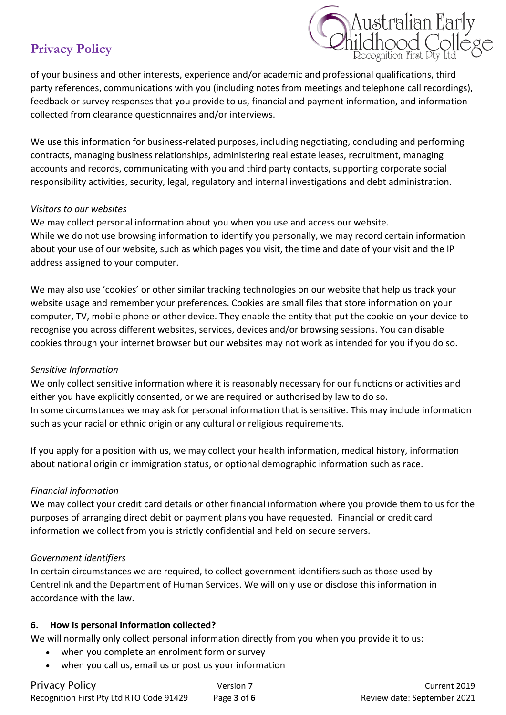

of your business and other interests, experience and/or academic and professional qualifications, third party references, communications with you (including notes from meetings and telephone call recordings), feedback or survey responses that you provide to us, financial and payment information, and information collected from clearance questionnaires and/or interviews.

We use this information for business-related purposes, including negotiating, concluding and performing contracts, managing business relationships, administering real estate leases, recruitment, managing accounts and records, communicating with you and third party contacts, supporting corporate social responsibility activities, security, legal, regulatory and internal investigations and debt administration.

#### *Visitors to our websites*

We may collect personal information about you when you use and access our website. While we do not use browsing information to identify you personally, we may record certain information about your use of our website, such as which pages you visit, the time and date of your visit and the IP address assigned to your computer.

We may also use 'cookies' or other similar tracking technologies on our website that help us track your website usage and remember your preferences. Cookies are small files that store information on your computer, TV, mobile phone or other device. They enable the entity that put the cookie on your device to recognise you across different websites, services, devices and/or browsing sessions. You can disable cookies through your internet browser but our websites may not work as intended for you if you do so.

### *Sensitive Information*

We only collect sensitive information where it is reasonably necessary for our functions or activities and either you have explicitly consented, or we are required or authorised by law to do so. In some circumstances we may ask for personal information that is sensitive. This may include information such as your racial or ethnic origin or any cultural or religious requirements.

If you apply for a position with us, we may collect your health information, medical history, information about national origin or immigration status, or optional demographic information such as race.

### *Financial information*

We may collect your credit card details or other financial information where you provide them to us for the purposes of arranging direct debit or payment plans you have requested. Financial or credit card information we collect from you is strictly confidential and held on secure servers.

#### *Government identifiers*

In certain circumstances we are required, to collect government identifiers such as those used by Centrelink and the Department of Human Services. We will only use or disclose this information in accordance with the law.

#### **6. How is personal information collected?**

We will normally only collect personal information directly from you when you provide it to us:

- when you complete an enrolment form or survey
- when you call us, email us or post us your information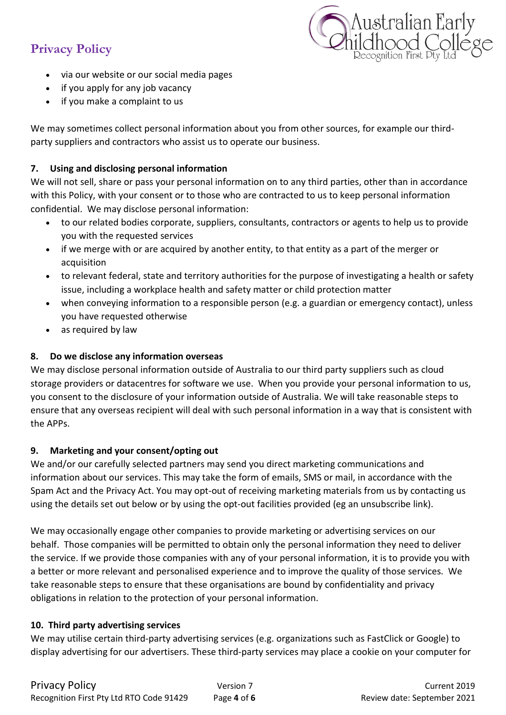

- via our website or our social media pages
- if you apply for any job vacancy
- if you make a complaint to us

We may sometimes collect personal information about you from other sources, for example our thirdparty suppliers and contractors who assist us to operate our business.

## **7. Using and disclosing personal information**

We will not sell, share or pass your personal information on to any third parties, other than in accordance with this Policy, with your consent or to those who are contracted to us to keep personal information confidential. We may disclose personal information:

- to our related bodies corporate, suppliers, consultants, contractors or agents to help us to provide you with the requested services
- if we merge with or are acquired by another entity, to that entity as a part of the merger or acquisition
- to relevant federal, state and territory authorities for the purpose of investigating a health or safety issue, including a workplace health and safety matter or child protection matter
- when conveying information to a responsible person (e.g. a guardian or emergency contact), unless you have requested otherwise
- as required by law

## **8. Do we disclose any information overseas**

We may disclose personal information outside of Australia to our third party suppliers such as cloud storage providers or datacentres for software we use. When you provide your personal information to us, you consent to the disclosure of your information outside of Australia. We will take reasonable steps to ensure that any overseas recipient will deal with such personal information in a way that is consistent with the APPs.

### **9. Marketing and your consent/opting out**

We and/or our carefully selected partners may send you direct marketing communications and information about our services. This may take the form of emails, SMS or mail, in accordance with the Spam Act and the Privacy Act. You may opt-out of receiving marketing materials from us by contacting us using the details set out below or by using the opt-out facilities provided (eg an unsubscribe link).

We may occasionally engage other companies to provide marketing or advertising services on our behalf. Those companies will be permitted to obtain only the personal information they need to deliver the service. If we provide those companies with any of your personal information, it is to provide you with a better or more relevant and personalised experience and to improve the quality of those services. We take reasonable steps to ensure that these organisations are bound by confidentiality and privacy obligations in relation to the protection of your personal information.

### **10. Third party advertising services**

We may utilise certain third-party advertising services (e.g. organizations such as FastClick or Google) to display advertising for our advertisers. These third-party services may place a cookie on your computer for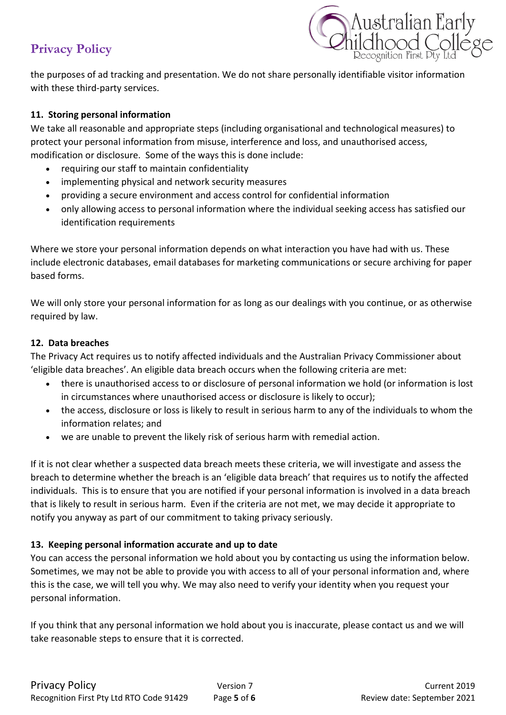

the purposes of ad tracking and presentation. We do not share personally identifiable visitor information with these third-party services.

### **11. Storing personal information**

We take all reasonable and appropriate steps (including organisational and technological measures) to protect your personal information from misuse, interference and loss, and unauthorised access, modification or disclosure. Some of the ways this is done include:

- requiring our staff to maintain confidentiality
- implementing physical and network security measures
- providing a secure environment and access control for confidential information
- only allowing access to personal information where the individual seeking access has satisfied our identification requirements

Where we store your personal information depends on what interaction you have had with us. These include electronic databases, email databases for marketing communications or secure archiving for paper based forms.

We will only store your personal information for as long as our dealings with you continue, or as otherwise required by law.

## **12. Data breaches**

The Privacy Act requires us to notify affected individuals and the Australian Privacy Commissioner about 'eligible data breaches'. An eligible data breach occurs when the following criteria are met:

- there is unauthorised access to or disclosure of personal information we hold (or information is lost in circumstances where unauthorised access or disclosure is likely to occur);
- the access, disclosure or loss is likely to result in serious harm to any of the individuals to whom the information relates; and
- we are unable to prevent the likely risk of serious harm with remedial action.

If it is not clear whether a suspected data breach meets these criteria, we will investigate and assess the breach to determine whether the breach is an 'eligible data breach' that requires us to notify the affected individuals. This is to ensure that you are notified if your personal information is involved in a data breach that is likely to result in serious harm. Even if the criteria are not met, we may decide it appropriate to notify you anyway as part of our commitment to taking privacy seriously.

## **13. Keeping personal information accurate and up to date**

You can access the personal information we hold about you by contacting us using the information below. Sometimes, we may not be able to provide you with access to all of your personal information and, where this is the case, we will tell you why. We may also need to verify your identity when you request your personal information.

If you think that any personal information we hold about you is inaccurate, please contact us and we will take reasonable steps to ensure that it is corrected.